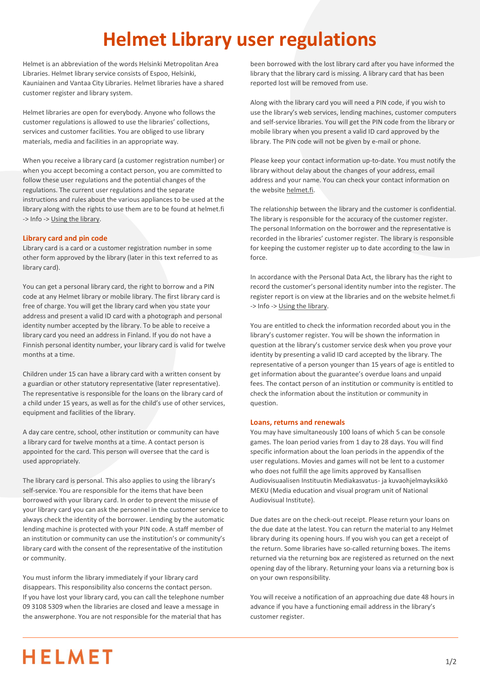# **Helmet Library user regulations**

Helmet is an abbreviation of the words Helsinki Metropolitan Area Libraries. Helmet library service consists of Espoo, Helsinki, Kauniainen and Vantaa City Libraries. Helmet libraries have a shared customer register and library system.

Helmet libraries are open for everybody. Anyone who follows the customer regulations is allowed to use the libraries' collections, services and customer facilities. You are obliged to use library materials, media and facilities in an appropriate way.

When you receive a library card (a customer registration number) or when you accept becoming a contact person, you are committed to follow these user regulations and the potential changes of the regulations. The current user regulations and the separate instructions and rules about the various appliances to be used at the library along with the rights to use them are to be found at helmet.fi -> Info -[> Using the library.](https://www.helmet.fi/en-US/Info/Using_the_library)

# **Library card and pin code**

Library card is a card or a customer registration number in some other form approved by the library (later in this text referred to as library card).

You can get a personal library card, the right to borrow and a PIN code at any Helmet library or mobile library. The first library card is free of charge. You will get the library card when you state your address and present a valid ID card with a photograph and personal identity number accepted by the library. To be able to receive a library card you need an address in Finland. If you do not have a Finnish personal identity number, your library card is valid for twelve months at a time.

Children under 15 can have a library card with a written consent by a guardian or other statutory representative (later representative). The representative is responsible for the loans on the library card of a child under 15 years, as well as for the child's use of other services, equipment and facilities of the library.

A day care centre, school, other institution or community can have a library card for twelve months at a time. A contact person is appointed for the card. This person will oversee that the card is used appropriately.

The library card is personal. This also applies to using the library's self-service. You are responsible for the items that have been borrowed with your library card. In order to prevent the misuse of your library card you can ask the personnel in the customer service to always check the identity of the borrower. Lending by the automatic lending machine is protected with your PIN code. A staff member of an institution or community can use the institution's or community's library card with the consent of the representative of the institution or community.

You must inform the library immediately if your library card disappears. This responsibility also concerns the contact person. If you have lost your library card, you can call the telephone number 09 3108 5309 when the libraries are closed and leave a message in the answerphone. You are not responsible for the material that has

been borrowed with the lost library card after you have informed the library that the library card is missing. A library card that has been reported lost will be removed from use.

Along with the library card you will need a PIN code, if you wish to use the library's web services, lending machines, customer computers and self-service libraries. You will get the PIN code from the library or mobile library when you present a valid ID card approved by the library. The PIN code will not be given by e-mail or phone.

Please keep your contact information up-to-date. You must notify the library without delay about the changes of your address, email address and your name. You can check your contact information on the websit[e helmet.fi.](https://www.helmet.fi/en-US)

The relationship between the library and the customer is confidential. The library is responsible for the accuracy of the customer register. The personal Information on the borrower and the representative is recorded in the libraries' customer register. The library is responsible for keeping the customer register up to date according to the law in force.

In accordance with the Personal Data Act, the library has the right to record the customer's personal identity number into the register. The register report is on view at the libraries and on the website helmet.fi -> Info -[> Using the library.](https://www.helmet.fi/en-US/Info/Using_the_library)

You are entitled to check the information recorded about you in the library's customer register. You will be shown the information in question at the library's customer service desk when you prove your identity by presenting a valid ID card accepted by the library. The representative of a person younger than 15 years of age is entitled to get information about the guarantee's overdue loans and unpaid fees. The contact person of an institution or community is entitled to check the information about the institution or community in question.

# **Loans, returns and renewals**

You may have simultaneously 100 loans of which 5 can be console games. The loan period varies from 1 day to 28 days. You will find specific information about the loan periods in the appendix of the user regulations. Movies and games will not be lent to a customer who does not fulfill the age limits approved by Kansallisen Audiovisuaalisen Instituutin Mediakasvatus- ja kuvaohjelmayksikkö MEKU (Media education and visual program unit of National Audiovisual Institute).

Due dates are on the check-out receipt. Please return your loans on the due date at the latest. You can return the material to any Helmet library during its opening hours. If you wish you can get a receipt of the return. Some libraries have so-called returning boxes. The items returned via the returning box are registered as returned on the next opening day of the library. Returning your loans via a returning box is on your own responsibility.

You will receive a notification of an approaching due date 48 hours in advance if you have a functioning email address in the library's customer register.

# **HELMET**